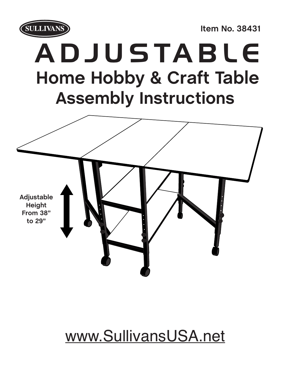

**Item No. 38431**

## ADJUSTABLE **Home Hobby & Craft Table Assembly Instructions**



## www.SullivansUSA.net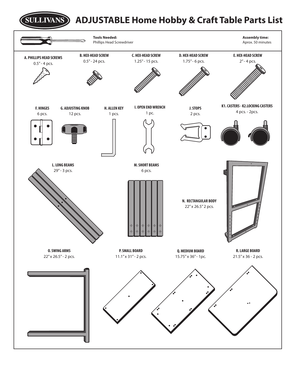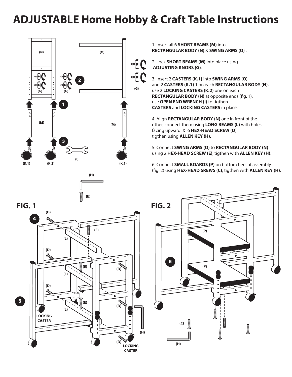### **ADJUSTABLE Home Hobby & Craft Table Instructions**



1. Insert all 6 **SHORT BEAMS (M)** into **RECTANGULAR BODY (N)** & **SWING ARMS (O)** .

2. Lock **SHORT BEAMS (M)** into place using  **ADJUSTING KNOBS (G)**.

3. Insert 2 **CASTERS (K.1)** into **SWING ARMS (O)** and 2 **CASTERS (K.1)** 1 on each **RECTANGULAR BODY (N)**, use 2 **LOCKING CASTERS (K.2)** one on each **RECTANGULAR BODY (N)** at opposite ends (fig. 1), use **OPEN END WRENCH (I)** to tigthen **CASTERS** and **LOCKING CASTERS** in place.

4. Align **RECTANGULAR BODY (N)** one in front of the other, connect them using **LONG BEAMS (L)** with holes facing upward & 6 **HEX-HEAD SCREW (D**) tigthen using **ALLEN KEY (H)**.

5. Connect **SWING ARMS (O)** to **RECTANGULAR BODY (N)** using 2 **HEX-HEAD SCREW (E)**, tigthen with **ALLEN KEY (H)**.

6. Connect **SMALL BOARDS (P)** on bottom tiers of assembly (fig. 2) using HEX-HEAD SREWS (C), tigthen with ALLEN KEY (H).



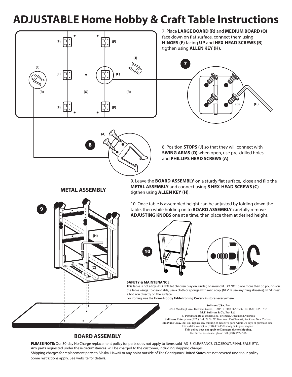## **ADJUSTABLE Home Hobby & Craft Table Instructions**



**(A)**

8

7. Place **LARGE BOARD (R)** and **MEDIUM BOARD (Q)** face down on flat surface, connect them using **HINGES (F)** facing **UP** and **HEX-HEAD SCREWS (B**) tigthen using **ALLEN KEY (H)**.



8. Position **STOPS (J)** so that they will connect with **SWING ARMS (O)** when open, use pre-drilled holes and **PHILLIPS HEAD SCREWS (A)**.

#### **METAL ASSEMBLY**

9

9. Leave the **BOARD ASSEMBLY METAL ASSEMBLY** and connect using **5 HEX-HEAD SCREWS (C)**  tigthen using **ALLEN KEY (H)**.

10. Once table is assembled height can be adjusted by folding down the table, then while holding on to **BOARD ASSEMBLY** carefully remove **ADJUSTING KNOBS** one at a time, then place them at desired height.



#### **SAFETY & MAINTENANCE**

This table is not a toy - DO NOT let children play on, under, or around it. DO NOT place more than 30 pounds on the table wings. To clean table, use a cloth or sponge with mild soap. (NEVER use anything abrasive). NEVER rest a hot iron directly on the surface.

For ironing, use the Home **Hobby Table Ironing Cover** - in stores everywhere.

**Sullivans USA, Inc** 4341 Middaugh Ave. Downers Grove, IL 60515 (800) 862-8586 Fax: (630) 435-1532 **M.T. Sullivan & Co. Pty. Ltd**. 40 Parramatta Road Underwood, Brisbane, Queenland Australia **Sullivans Enterprises (N.Z.) Ltd.** 28 Sir William Ave. East Tamaki, Auckland New Zealand **Sullivans USA, Inc.** will replace any missing or defective parts within 30 days or purchase date. Fax a dated receipt to (630) 435-1532 along with your request. **This policy does not apply to Damages due to shipping.** For further assistance, please call (800) 862-8586

#### **BOARD ASSEMBLY**

**(C)**

**(H)**

**PLEASE NOTE:** Our 30-day No Charge replacement policy for parts does not apply to items sold AS IS, CLEARANCE, CLOSEOUT, FINAL SALE, ETC. Any parts requested under these circumstances will be charged to the customer, including shipping charges. Shipping charges for replacement parts to Alaska, Hawaii or any point outside of The Contiguous United States are not covered under our policy. Some restrictions apply. See website for details.